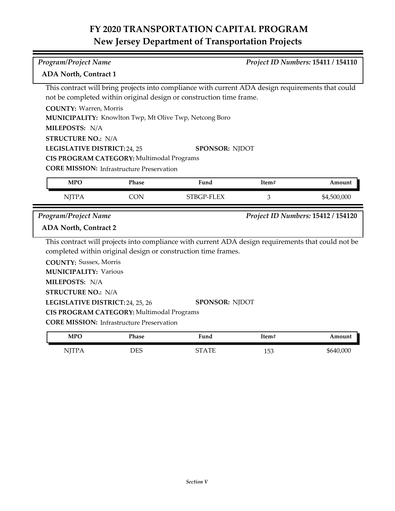| Program/Project Name<br>Project ID Numbers: 15411 / 154110 |                                                  |                                                                                                    |                |                                    |
|------------------------------------------------------------|--------------------------------------------------|----------------------------------------------------------------------------------------------------|----------------|------------------------------------|
| <b>ADA North, Contract 1</b>                               |                                                  |                                                                                                    |                |                                    |
|                                                            |                                                  | This contract will bring projects into compliance with current ADA design requirements that could  |                |                                    |
|                                                            |                                                  | not be completed within original design or construction time frame.                                |                |                                    |
| <b>COUNTY: Warren, Morris</b>                              |                                                  |                                                                                                    |                |                                    |
|                                                            |                                                  | MUNICIPALITY: Knowlton Twp, Mt Olive Twp, Netcong Boro                                             |                |                                    |
| MILEPOSTS: N/A                                             |                                                  |                                                                                                    |                |                                    |
| <b>STRUCTURE NO.: N/A</b>                                  |                                                  |                                                                                                    |                |                                    |
| LEGISLATIVE DISTRICT: 24, 25                               |                                                  | <b>SPONSOR: NJDOT</b>                                                                              |                |                                    |
|                                                            | CIS PROGRAM CATEGORY: Multimodal Programs        |                                                                                                    |                |                                    |
|                                                            | <b>CORE MISSION: Infrastructure Preservation</b> |                                                                                                    |                |                                    |
| <b>MPO</b>                                                 | <b>Phase</b>                                     | Fund                                                                                               | Item#          | Amount                             |
| <b>NJTPA</b>                                               | <b>CON</b>                                       | STBGP-FLEX                                                                                         | $\mathfrak{Z}$ | \$4,500,000                        |
|                                                            |                                                  |                                                                                                    |                |                                    |
| Program/Project Name                                       |                                                  |                                                                                                    |                | Project ID Numbers: 15412 / 154120 |
| <b>ADA North, Contract 2</b>                               |                                                  |                                                                                                    |                |                                    |
|                                                            |                                                  | This contract will projects into compliance with current ADA design requirements that could not be |                |                                    |
|                                                            |                                                  | completed within original design or construction time frames.                                      |                |                                    |
| <b>COUNTY: Sussex, Morris</b>                              |                                                  |                                                                                                    |                |                                    |
| <b>MUNICIPALITY: Various</b>                               |                                                  |                                                                                                    |                |                                    |
| MILEPOSTS: N/A                                             |                                                  |                                                                                                    |                |                                    |
| <b>STRUCTURE NO.: N/A</b>                                  |                                                  |                                                                                                    |                |                                    |
| LEGISLATIVE DISTRICT: 24, 25, 26                           |                                                  | <b>SPONSOR: NJDOT</b>                                                                              |                |                                    |
|                                                            | CIS PROGRAM CATEGORY: Multimodal Programs        |                                                                                                    |                |                                    |
|                                                            | <b>CORE MISSION: Infrastructure Preservation</b> |                                                                                                    |                |                                    |
| <b>MPO</b>                                                 | Phase                                            | Fund                                                                                               | Item#          | Amount                             |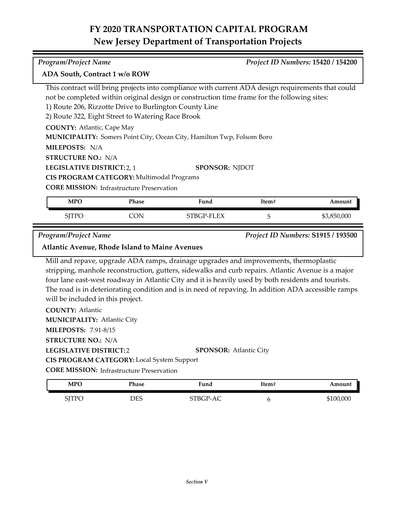| Program/Project Name<br>ADA South, Contract 1 w/o ROW                                              |                                                  |                                                                                                     |       | Project ID Numbers: 15420 / 154200 |
|----------------------------------------------------------------------------------------------------|--------------------------------------------------|-----------------------------------------------------------------------------------------------------|-------|------------------------------------|
|                                                                                                    |                                                  |                                                                                                     |       |                                    |
|                                                                                                    |                                                  | This contract will bring projects into compliance with current ADA design requirements that could   |       |                                    |
|                                                                                                    |                                                  | not be completed within original design or construction time frame for the following sites:         |       |                                    |
| 1) Route 206, Rizzotte Drive to Burlington County Line                                             |                                                  |                                                                                                     |       |                                    |
| 2) Route 322, Eight Street to Watering Race Brook                                                  |                                                  |                                                                                                     |       |                                    |
| <b>COUNTY: Atlantic, Cape May</b>                                                                  |                                                  |                                                                                                     |       |                                    |
|                                                                                                    |                                                  | MUNICIPALITY: Somers Point City, Ocean City, Hamilton Twp, Folsom Boro                              |       |                                    |
| MILEPOSTS: N/A                                                                                     |                                                  |                                                                                                     |       |                                    |
| <b>STRUCTURE NO.: N/A</b>                                                                          |                                                  |                                                                                                     |       |                                    |
| LEGISLATIVE DISTRICT: 2, 1                                                                         |                                                  | <b>SPONSOR: NJDOT</b>                                                                               |       |                                    |
|                                                                                                    | CIS PROGRAM CATEGORY: Multimodal Programs        |                                                                                                     |       |                                    |
|                                                                                                    | <b>CORE MISSION:</b> Infrastructure Preservation |                                                                                                     |       |                                    |
| <b>MPO</b>                                                                                         | Phase                                            | Fund                                                                                                | Item# | Amount                             |
| <b>SJTPO</b>                                                                                       | <b>CON</b>                                       | STBGP-FLEX                                                                                          | 5     | \$3,850,000                        |
| Program/Project Name                                                                               |                                                  |                                                                                                     |       | Project ID Numbers: S1915 / 193500 |
| <b>Atlantic Avenue, Rhode Island to Maine Avenues</b>                                              |                                                  |                                                                                                     |       |                                    |
|                                                                                                    |                                                  | Mill and repave, upgrade ADA ramps, drainage upgrades and improvements, thermoplastic               |       |                                    |
| stripping, manhole reconstruction, gutters, sidewalks and curb repairs. Atlantic Avenue is a major |                                                  |                                                                                                     |       |                                    |
|                                                                                                    |                                                  | four lane east-west roadway in Atlantic City and it is heavily used by both residents and tourists. |       |                                    |
| will be included in this project.                                                                  |                                                  | The road is in deteriorating condition and is in need of repaving. In addition ADA accessible ramps |       |                                    |

| <b>COUNTY: Atlantic</b>                           |                               |
|---------------------------------------------------|-------------------------------|
| <b>MUNICIPALITY: Atlantic City</b>                |                               |
| <b>MILEPOSTS: 7.91-8/15</b>                       |                               |
| <b>STRUCTURE NO.: N/A</b>                         |                               |
| LEGISLATIVE DISTRICT:2                            | <b>SPONSOR:</b> Atlantic City |
| <b>CIS PROGRAM CATEGORY:</b> Local System Support |                               |
| <b>CORE MISSION:</b> Infrastructure Preservation  |                               |
|                                                   |                               |

| <b>MPO</b>                  | Phase | Fund   | Item# | Amount    |
|-----------------------------|-------|--------|-------|-----------|
| <b>NITE</b><br>$\mathbf{r}$ | DES   | $\sim$ |       | \$100,000 |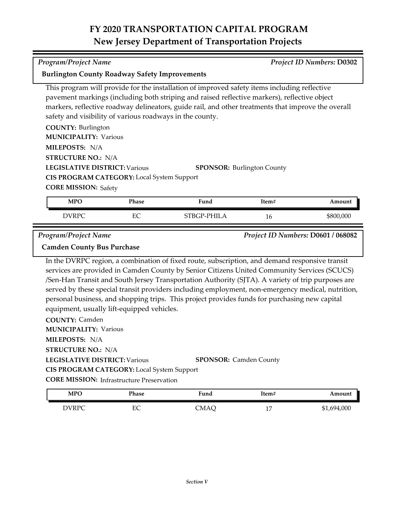*Program/Project Name Project ID Numbers:* **D0302**

**Burlington County Roadway Safety Improvements**

|                                                                                       |       | This program will provide for the installation of improved safety items including reflective<br>pavement markings (including both striping and raised reflective markers), reflective object<br>markers, reflective roadway delineators, guide rail, and other treatments that improve the overall                                                                                                                                                                                                       |       |           |
|---------------------------------------------------------------------------------------|-------|----------------------------------------------------------------------------------------------------------------------------------------------------------------------------------------------------------------------------------------------------------------------------------------------------------------------------------------------------------------------------------------------------------------------------------------------------------------------------------------------------------|-------|-----------|
| safety and visibility of various roadways in the county.<br><b>COUNTY: Burlington</b> |       |                                                                                                                                                                                                                                                                                                                                                                                                                                                                                                          |       |           |
| <b>MUNICIPALITY: Various</b>                                                          |       |                                                                                                                                                                                                                                                                                                                                                                                                                                                                                                          |       |           |
| MILEPOSTS: N/A                                                                        |       |                                                                                                                                                                                                                                                                                                                                                                                                                                                                                                          |       |           |
| <b>STRUCTURE NO.: N/A</b>                                                             |       |                                                                                                                                                                                                                                                                                                                                                                                                                                                                                                          |       |           |
| <b>LEGISLATIVE DISTRICT: Various</b>                                                  |       | <b>SPONSOR: Burlington County</b>                                                                                                                                                                                                                                                                                                                                                                                                                                                                        |       |           |
| CIS PROGRAM CATEGORY: Local System Support                                            |       |                                                                                                                                                                                                                                                                                                                                                                                                                                                                                                          |       |           |
| <b>CORE MISSION: Safety</b>                                                           |       |                                                                                                                                                                                                                                                                                                                                                                                                                                                                                                          |       |           |
| <b>MPO</b>                                                                            | Phase | Fund                                                                                                                                                                                                                                                                                                                                                                                                                                                                                                     | Item# | Amount    |
| <b>DVRPC</b>                                                                          | EC    | STBGP-PHILA                                                                                                                                                                                                                                                                                                                                                                                                                                                                                              | 16    | \$800,000 |
| equipment, usually lift-equipped vehicles.                                            |       | In the DVRPC region, a combination of fixed route, subscription, and demand responsive transit<br>services are provided in Camden County by Senior Citizens United Community Services (SCUCS)<br>/Sen-Han Transit and South Jersey Transportation Authority (SJTA). A variety of trip purposes are<br>served by these special transit providers including employment, non-emergency medical, nutrition,<br>personal business, and shopping trips. This project provides funds for purchasing new capital |       |           |
| <b>COUNTY: Camden</b><br><b>MUNICIPALITY: Various</b>                                 |       |                                                                                                                                                                                                                                                                                                                                                                                                                                                                                                          |       |           |
| MILEPOSTS: N/A                                                                        |       |                                                                                                                                                                                                                                                                                                                                                                                                                                                                                                          |       |           |
| <b>STRUCTURE NO.: N/A</b>                                                             |       |                                                                                                                                                                                                                                                                                                                                                                                                                                                                                                          |       |           |
| <b>LEGISLATIVE DISTRICT: Various</b>                                                  |       | <b>SPONSOR: Camden County</b>                                                                                                                                                                                                                                                                                                                                                                                                                                                                            |       |           |
| <b>CIS PROGRAM CATEGORY:</b> Local System Support                                     |       |                                                                                                                                                                                                                                                                                                                                                                                                                                                                                                          |       |           |
| <b>CORE MISSION:</b> Infrastructure Preservation                                      |       |                                                                                                                                                                                                                                                                                                                                                                                                                                                                                                          |       |           |
| MPO                                                                                   | Phase | Fund                                                                                                                                                                                                                                                                                                                                                                                                                                                                                                     | Item# | Amount    |

DVRPC EC CMAQ 17 \$1,694,000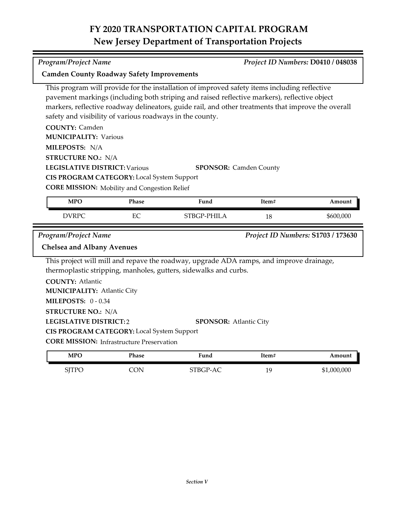| <b>Camden County Roadway Safety Improvements</b> |                                                          |                                                                                                                                                                                                                                                                                                    |       |                                    |
|--------------------------------------------------|----------------------------------------------------------|----------------------------------------------------------------------------------------------------------------------------------------------------------------------------------------------------------------------------------------------------------------------------------------------------|-------|------------------------------------|
|                                                  | safety and visibility of various roadways in the county. | This program will provide for the installation of improved safety items including reflective<br>pavement markings (including both striping and raised reflective markers), reflective object<br>markers, reflective roadway delineators, guide rail, and other treatments that improve the overall |       |                                    |
| <b>COUNTY: Camden</b>                            |                                                          |                                                                                                                                                                                                                                                                                                    |       |                                    |
| <b>MUNICIPALITY: Various</b>                     |                                                          |                                                                                                                                                                                                                                                                                                    |       |                                    |
| MILEPOSTS: N/A                                   |                                                          |                                                                                                                                                                                                                                                                                                    |       |                                    |
| <b>STRUCTURE NO.: N/A</b>                        |                                                          |                                                                                                                                                                                                                                                                                                    |       |                                    |
| <b>LEGISLATIVE DISTRICT: Various</b>             |                                                          | <b>SPONSOR:</b> Camden County                                                                                                                                                                                                                                                                      |       |                                    |
|                                                  | CIS PROGRAM CATEGORY: Local System Support               |                                                                                                                                                                                                                                                                                                    |       |                                    |
|                                                  | <b>CORE MISSION:</b> Mobility and Congestion Relief      |                                                                                                                                                                                                                                                                                                    |       |                                    |
| <b>MPO</b>                                       | Phase                                                    | Fund                                                                                                                                                                                                                                                                                               | Item# | Amount                             |
| <b>DVRPC</b>                                     | EC                                                       | STBGP-PHILA                                                                                                                                                                                                                                                                                        | 18    | \$600,000                          |
|                                                  |                                                          |                                                                                                                                                                                                                                                                                                    |       |                                    |
| <b>Program/Project Name</b>                      |                                                          |                                                                                                                                                                                                                                                                                                    |       | Project ID Numbers: S1703 / 173630 |
| <b>Chelsea and Albany Avenues</b>                |                                                          |                                                                                                                                                                                                                                                                                                    |       |                                    |
|                                                  |                                                          | This project will mill and repave the roadway, upgrade ADA ramps, and improve drainage,<br>thermoplastic stripping, manholes, gutters, sidewalks and curbs.                                                                                                                                        |       |                                    |
| <b>COUNTY: Atlantic</b>                          |                                                          |                                                                                                                                                                                                                                                                                                    |       |                                    |
| <b>MUNICIPALITY: Atlantic City</b>               |                                                          |                                                                                                                                                                                                                                                                                                    |       |                                    |
| <b>MILEPOSTS: 0-0.34</b>                         |                                                          |                                                                                                                                                                                                                                                                                                    |       |                                    |
| <b>STRUCTURE NO.: N/A</b>                        |                                                          |                                                                                                                                                                                                                                                                                                    |       |                                    |
| <b>LEGISLATIVE DISTRICT:2</b>                    |                                                          | <b>SPONSOR: Atlantic City</b>                                                                                                                                                                                                                                                                      |       |                                    |
|                                                  | <b>CIS PROGRAM CATEGORY:</b> Local System Support        |                                                                                                                                                                                                                                                                                                    |       |                                    |
|                                                  | <b>CORE MISSION: Infrastructure Preservation</b>         |                                                                                                                                                                                                                                                                                                    |       |                                    |
| <b>MPO</b>                                       | Phase                                                    | Fund                                                                                                                                                                                                                                                                                               | Item# | Amount                             |

## *Program/Project Name Project ID Numbers:* **D0410 / 048038**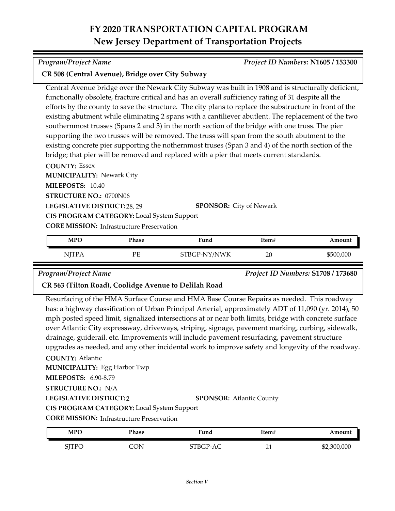### *Program/Project Name Project ID Numbers:* **N1605 / 153300**

### **CR 508 (Central Avenue), Bridge over City Subway**

Central Avenue bridge over the Newark City Subway was built in 1908 and is structurally deficient, functionally obsolete, fracture critical and has an overall sufficiency rating of 31 despite all the efforts by the county to save the structure. The city plans to replace the substructure in front of the existing abutment while eliminating 2 spans with a cantiliever abutlent. The replacement of the two southernmost trusses (Spans 2 and 3) in the north section of the bridge with one truss. The pier supporting the two trusses will be removed. The truss will span from the south abutment to the existing concrete pier supporting the nothernmost truses (Span 3 and 4) of the north section of the bridge; that pier will be removed and replaced with a pier that meets current standards.

**COUNTY:** Essex

**MUNICIPALITY: Newark City** 

**MILEPOSTS:** 10.40

**STRUCTURE NO.:** 0700N06

**LEGISLATIVE DISTRICT:** 28, 29

**SPONSOR:** City of Newark

**CIS PROGRAM CATEGORY:** Local System Support

**CORE MISSION:** Infrastructure Preservation

| MPO   | Phase | Fund         | Item# | Amount    |
|-------|-------|--------------|-------|-----------|
| NITPA | PЕ    | STBGP-NY/NWK | 20    | \$500,000 |

*Program/Project Name Project ID Numbers:* **S1708 / 173680**

### **CR 563 (Tilton Road), Coolidge Avenue to Delilah Road**

Resurfacing of the HMA Surface Course and HMA Base Course Repairs as needed. This roadway has: a highway classification of Urban Principal Arterial, approximately ADT of 11,090 (yr. 2014), 50 mph posted speed limit, signalized intersections at or near both limits, bridge with concrete surface over Atlantic City expressway, driveways, striping, signage, pavement marking, curbing, sidewalk, drainage, guiderail. etc. Improvements will include pavement resurfacing, pavement structure upgrades as needed, and any other incidental work to improve safety and longevity of the roadway.

### **COUNTY:** Atlantic

**MUNICIPALITY: Egg Harbor Twp** 

**MILEPOSTS:** 6.90-8.79

**STRUCTURE NO.:** N/A

**LEGISLATIVE DISTRICT:** 2

**SPONSOR:** Atlantic County

**CIS PROGRAM CATEGORY:** Local System Support

**CORE MISSION: Infrastructure Preservation** 

| <b>MPC</b>   | Phase | <b>Fund</b> | ltem#            | Amount      |
|--------------|-------|-------------|------------------|-------------|
| <b>SJTPO</b> | CON   | $STBGP-1$   | n.<br><u>_ i</u> | \$2,300,000 |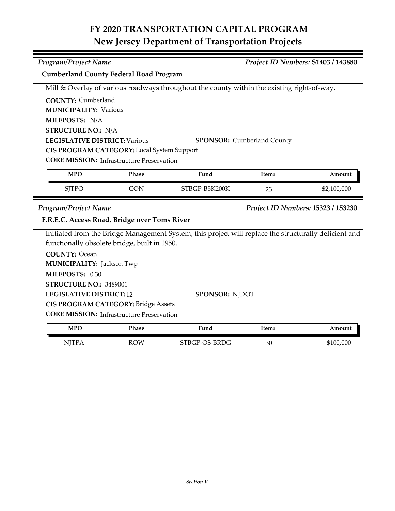| <b>Program/Project Name</b>                                               | Project ID Numbers: S1403 / 143880 |                                                                                                       |       |                                    |  |
|---------------------------------------------------------------------------|------------------------------------|-------------------------------------------------------------------------------------------------------|-------|------------------------------------|--|
| <b>Cumberland County Federal Road Program</b>                             |                                    |                                                                                                       |       |                                    |  |
|                                                                           |                                    | Mill & Overlay of various roadways throughout the county within the existing right-of-way.            |       |                                    |  |
| <b>COUNTY: Cumberland</b>                                                 |                                    |                                                                                                       |       |                                    |  |
| <b>MUNICIPALITY: Various</b>                                              |                                    |                                                                                                       |       |                                    |  |
| MILEPOSTS: N/A                                                            |                                    |                                                                                                       |       |                                    |  |
| <b>STRUCTURE NO.: N/A</b>                                                 |                                    |                                                                                                       |       |                                    |  |
| <b>LEGISLATIVE DISTRICT: Various</b><br><b>SPONSOR:</b> Cumberland County |                                    |                                                                                                       |       |                                    |  |
| CIS PROGRAM CATEGORY: Local System Support                                |                                    |                                                                                                       |       |                                    |  |
| <b>CORE MISSION:</b> Infrastructure Preservation                          |                                    |                                                                                                       |       |                                    |  |
| <b>MPO</b>                                                                | Phase                              | Fund                                                                                                  | Item# | Amount                             |  |
| <b>SJTPO</b>                                                              | <b>CON</b>                         | STBGP-B5K200K                                                                                         | 23    | \$2,100,000                        |  |
|                                                                           |                                    |                                                                                                       |       |                                    |  |
| <b>Program/Project Name</b>                                               |                                    |                                                                                                       |       | Project ID Numbers: 15323 / 153230 |  |
| F.R.E.C. Access Road, Bridge over Toms River                              |                                    |                                                                                                       |       |                                    |  |
|                                                                           |                                    | Initiated from the Bridge Management System, this project will replace the structurally deficient and |       |                                    |  |
| functionally obsolete bridge, built in 1950.                              |                                    |                                                                                                       |       |                                    |  |
| <b>COUNTY: Ocean</b>                                                      |                                    |                                                                                                       |       |                                    |  |
| <b>MUNICIPALITY: Jackson Twp</b>                                          |                                    |                                                                                                       |       |                                    |  |
| MILEPOSTS: 0.30                                                           |                                    |                                                                                                       |       |                                    |  |
| STRUCTURE NO.: 3489001                                                    |                                    |                                                                                                       |       |                                    |  |
| <b>LEGISLATIVE DISTRICT: 12</b><br><b>SPONSOR: NJDOT</b>                  |                                    |                                                                                                       |       |                                    |  |
| <b>CIS PROGRAM CATEGORY: Bridge Assets</b>                                |                                    |                                                                                                       |       |                                    |  |
| <b>CORE MISSION:</b> Infrastructure Preservation                          |                                    |                                                                                                       |       |                                    |  |
| <b>MPO</b>                                                                | Phase                              | Fund                                                                                                  | Item# | Amount                             |  |

| <b>MPO</b>   | Phase | Fund          | Item# | Amount    |
|--------------|-------|---------------|-------|-----------|
| <b>NJTPA</b> | ROW   | STBGP-OS-BRDG | 30    | \$100,000 |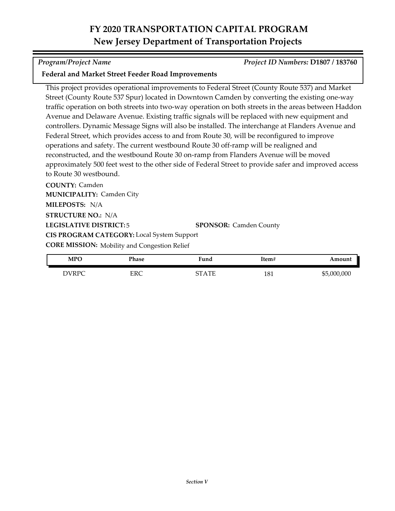### *Program/Project Name Project ID Numbers:* **D1807 / 183760**

### **Federal and Market Street Feeder Road Improvements**

This project provides operational improvements to Federal Street (County Route 537) and Market Street (County Route 537 Spur) located in Downtown Camden by converting the existing one-way traffic operation on both streets into two-way operation on both streets in the areas between Haddon Avenue and Delaware Avenue. Existing traffic signals will be replaced with new equipment and controllers. Dynamic Message Signs will also be installed. The interchange at Flanders Avenue and Federal Street, which provides access to and from Route 30, will be reconfigured to improve operations and safety. The current westbound Route 30 off-ramp will be realigned and reconstructed, and the westbound Route 30 on-ramp from Flanders Avenue will be moved approximately 500 feet west to the other side of Federal Street to provide safer and improved access to Route 30 westbound.

**COUNTY:** Camden **LEGISLATIVE DISTRICT:** 5 **MILEPOSTS:** N/A **STRUCTURE NO.:** N/A **MUNICIPALITY: Camden City CORE MISSION:** Mobility and Congestion Relief **SPONSOR:** Camden County **CIS PROGRAM CATEGORY:** Local System Support

| <b>MPO</b>   | Phase | Fund                                                                      | Item# | Amount      |
|--------------|-------|---------------------------------------------------------------------------|-------|-------------|
| <b>DVRPC</b> | ERC   | cт<br>$\Delta \text{ } \text{ } \text{ } \Gamma \text{ } \text{ } \Gamma$ | 181   | \$5,000,000 |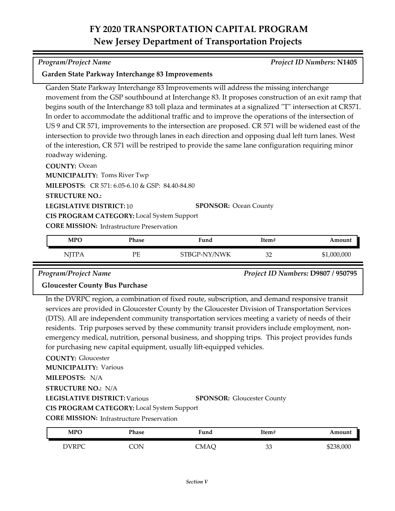#### *Program/Project Name Project ID Numbers:* **N1405**

#### **Garden State Parkway Interchange 83 Improvements**

Garden State Parkway Interchange 83 Improvements will address the missing interchange movement from the GSP southbound at Interchange 83. It proposes construction of an exit ramp that begins south of the Interchange 83 toll plaza and terminates at a signalized "T" intersection at CR571. In order to accommodate the additional traffic and to improve the operations of the intersection of US 9 and CR 571, improvements to the intersection are proposed. CR 571 will be widened east of the intersection to provide two through lanes in each direction and opposing dual left turn lanes. West of the interestion, CR 571 will be restriped to provide the same lane configuration requiring minor roadway widening.

**COUNTY:** Ocean

**MUNICIPALITY: Toms River Twp** 

**MILEPOSTS:** CR 571: 6.05-6.10 & GSP: 84.40-84.80

**STRUCTURE NO.:**

**LEGISLATIVE DISTRICT:** 10 **SPONSOR:** Ocean County

**CIS PROGRAM CATEGORY:** Local System Support

**CORE MISSION:** Infrastructure Preservation

| <b>MPO</b>   | Phase | Fund         | Item#    | Amount      |
|--------------|-------|--------------|----------|-------------|
| <b>NJTPA</b> | PЕ    | STBGP-NY/NWK | つつ<br>◡∠ | \$1,000,000 |

*Program/Project Name Project ID Numbers:* **D9807 / 950795**

#### **Gloucester County Bus Purchase**

In the DVRPC region, a combination of fixed route, subscription, and demand responsive transit services are provided in Gloucester County by the Gloucester Division of Transportation Services (DTS). All are independent community transportation services meeting a variety of needs of their residents. Trip purposes served by these community transit providers include employment, nonemergency medical, nutrition, personal business, and shopping trips. This project provides funds for purchasing new capital equipment, usually lift-equipped vehicles.

#### **COUNTY:** Gloucester

**MUNICIPALITY: Various** 

**MILEPOSTS:** N/A

**STRUCTURE NO.:** N/A

**LEGISLATIVE DISTRICT:** Various

**SPONSOR:** Gloucester County

**CIS PROGRAM CATEGORY:** Local System Support

**CORE MISSION: Infrastructure Preservation** 

| <b>MPO</b>   | Phase          | ∀und | Item#     | Amount    |
|--------------|----------------|------|-----------|-----------|
| <b>DVRPC</b> | ωv.<br>ヽ<br>U٠ | CMAÇ | n n<br>၁၁ | \$238,000 |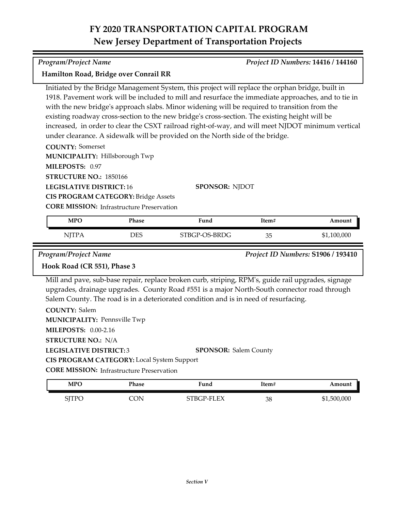Initiated by the Bridge Management System, this project will replace the orphan bridge, built in 1918. Pavement work will be included to mill and resurface the immediate approaches, and to tie in

increased, in order to clear the CSXT railroad right-of-way, and will meet NJDOT minimum vertical

with the new bridge's approach slabs. Minor widening will be required to transition from the existing roadway cross-section to the new bridge's cross-section. The existing height will be

| $\mathbf{M}$ . The matrix $\mathbf{M}$ is the set of $\mathbf{M}$ in $\mathbf{M}$ |            |                                                                                                    |       |             |
|-----------------------------------------------------------------------------------|------------|----------------------------------------------------------------------------------------------------|-------|-------------|
| MILEPOSTS: 0.97                                                                   |            |                                                                                                    |       |             |
| STRUCTURE NO.: 1850166                                                            |            |                                                                                                    |       |             |
| <b>LEGISLATIVE DISTRICT: 16</b>                                                   |            | <b>SPONSOR: NJDOT</b>                                                                              |       |             |
| <b>CIS PROGRAM CATEGORY: Bridge Assets</b>                                        |            |                                                                                                    |       |             |
| <b>CORE MISSION: Infrastructure Preservation</b>                                  |            |                                                                                                    |       |             |
| <b>MPO</b>                                                                        | Phase      | Fund                                                                                               | Item# | Amount      |
| <b>NJTPA</b>                                                                      | <b>DES</b> | STBGP-OS-BRDG                                                                                      | 35    | \$1,100,000 |
| Hook Road (CR 551), Phase 3                                                       |            |                                                                                                    |       |             |
|                                                                                   |            | Mill and pave, sub-base repair, replace broken curb, striping, RPM's, guide rail upgrades, signage |       |             |
|                                                                                   |            | upgrades, drainage upgrades. County Road #551 is a major North-South connector road through        |       |             |
|                                                                                   |            | Salem County. The road is in a deteriorated condition and is in need of resurfacing.               |       |             |
| <b>COUNTY: Salem</b>                                                              |            |                                                                                                    |       |             |
| <b>MUNICIPALITY: Pennsville Twp</b>                                               |            |                                                                                                    |       |             |
| <b>MILEPOSTS: 0.00-2.16</b>                                                       |            |                                                                                                    |       |             |
| <b>STRUCTURE NO.: N/A</b>                                                         |            |                                                                                                    |       |             |
|                                                                                   |            |                                                                                                    |       |             |

**CORE MISSION: Infrastructure Preservation CIS PROGRAM CATEGORY:** Local System Support

| <b>MPO</b>   | Phase | Fund       | Item# | Amount      |
|--------------|-------|------------|-------|-------------|
| <b>SJTPC</b> | CON.  | STBGP-FLEX | 38    | \$1,500,000 |

*Program/Project Name Project ID Numbers:* **14416 / 144160**

# **Hamilton Road, Bridge over Conrail RR**

**COUNTY:** Somerset **MUNICIPALITY: Hillsborough Twp** under clearance. A sidewalk will be provided on the North side of the bridge.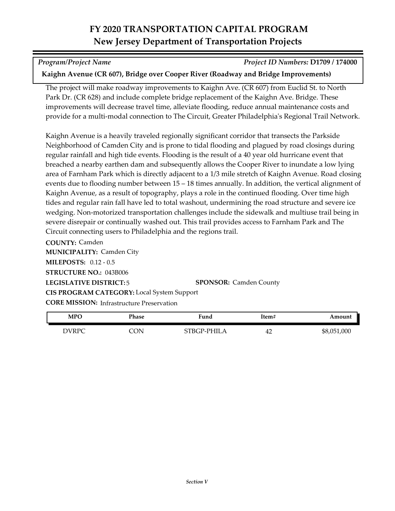*Program/Project Name Project ID Numbers:* **D1709 / 174000**

### **Kaighn Avenue (CR 607), Bridge over Cooper River (Roadway and Bridge Improvements)**

The project will make roadway improvements to Kaighn Ave. (CR 607) from Euclid St. to North Park Dr. (CR 628) and include complete bridge replacement of the Kaighn Ave. Bridge. These improvements will decrease travel time, alleviate flooding, reduce annual maintenance costs and provide for a multi-modal connection to The Circuit, Greater Philadelphia's Regional Trail Network.

Kaighn Avenue is a heavily traveled regionally significant corridor that transects the Parkside Neighborhood of Camden City and is prone to tidal flooding and plagued by road closings during regular rainfall and high tide events. Flooding is the result of a 40 year old hurricane event that breached a nearby earthen dam and subsequently allows the Cooper River to inundate a low lying area of Farnham Park which is directly adjacent to a 1/3 mile stretch of Kaighn Avenue. Road closing events due to flooding number between 15 – 18 times annually. In addition, the vertical alignment of Kaighn Avenue, as a result of topography, plays a role in the continued flooding. Over time high tides and regular rain fall have led to total washout, undermining the road structure and severe ice wedging. Non-motorized transportation challenges include the sidewalk and multiuse trail being in severe disrepair or continually washed out. This trail provides access to Farnham Park and The Circuit connecting users to Philadelphia and the regions trail.

**COUNTY:** Camden **LEGISLATIVE DISTRICT:** 5 **MILEPOSTS:** 0.12 - 0.5 **STRUCTURE NO.:** 043B006 **MUNICIPALITY: Camden City CORE MISSION:** Infrastructure Preservation **SPONSOR:** Camden County **CIS PROGRAM CATEGORY:** Local System Support

| MPC   | Phase | ∀und       | Item# | Amount      |
|-------|-------|------------|-------|-------------|
| DVRPC | CON.  | TBGP-PHILA | 42    | \$8,051,000 |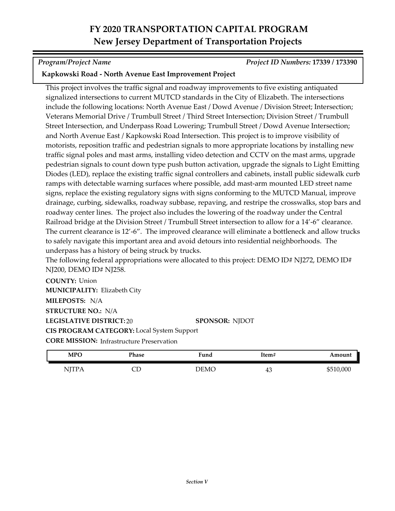*Program/Project Name Project ID Numbers:* **17339 / 173390**

### **Kapkowski Road - North Avenue East Improvement Project**

This project involves the traffic signal and roadway improvements to five existing antiquated signalized intersections to current MUTCD standards in the City of Elizabeth. The intersections include the following locations: North Avenue East / Dowd Avenue / Division Street; Intersection; Veterans Memorial Drive / Trumbull Street / Third Street Intersection; Division Street / Trumbull Street Intersection, and Underpass Road Lowering; Trumbull Street / Dowd Avenue Intersection; and North Avenue East / Kapkowski Road Intersection. This project is to improve visibility of motorists, reposition traffic and pedestrian signals to more appropriate locations by installing new traffic signal poles and mast arms, installing video detection and CCTV on the mast arms, upgrade pedestrian signals to count down type push button activation, upgrade the signals to Light Emitting Diodes (LED), replace the existing traffic signal controllers and cabinets, install public sidewalk curb ramps with detectable warning surfaces where possible, add mast-arm mounted LED street name signs, replace the existing regulatory signs with signs conforming to the MUTCD Manual, improve drainage, curbing, sidewalks, roadway subbase, repaving, and restripe the crosswalks, stop bars and roadway center lines. The project also includes the lowering of the roadway under the Central Railroad bridge at the Division Street / Trumbull Street intersection to allow for a 14'-6" clearance. The current clearance is 12'-6". The improved clearance will eliminate a bottleneck and allow trucks to safely navigate this important area and avoid detours into residential neighborhoods. The underpass has a history of being struck by trucks.

The following federal appropriations were allocated to this project: DEMO ID# NJ272, DEMO ID# NJ200, DEMO ID# NJ258.

**COUNTY:** Union **LEGISLATIVE DISTRICT:** 20 **MILEPOSTS:** N/A **STRUCTURE NO.:** N/A **MUNICIPALITY: Elizabeth City CORE MISSION: Infrastructure Preservation SPONSOR:** NJDOT **CIS PROGRAM CATEGORY:** Local System Support

| <b>MPO</b>                                   | Phase | Fund | Item# | Amount    |
|----------------------------------------------|-------|------|-------|-----------|
| <b>ITTD.</b><br>$\mathbf{v}$<br><b>TT 17</b> | ىت    | DEMC | 40    | \$510,000 |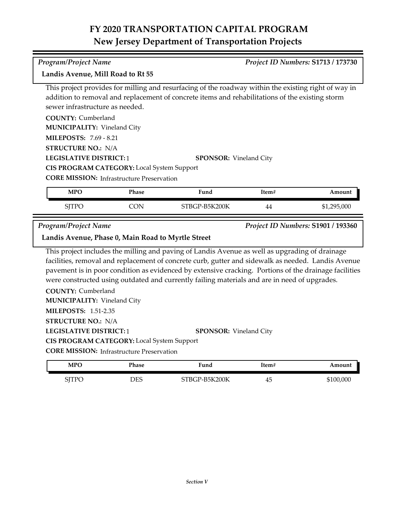#### *Program/Project Name Project ID Numbers:* **S1713 / 173730**

#### **Landis Avenue, Mill Road to Rt 55**

This project provides for milling and resurfacing of the roadway within the existing right of way in addition to removal and replacement of concrete items and rehabilitations of the existing storm sewer infrastructure as needed.

**COUNTY:** Cumberland

**MUNICIPALITY: Vineland City** 

**MILEPOSTS:** 7.69 - 8.21

**STRUCTURE NO.:** N/A

**LEGISLATIVE DISTRICT:** 1

**CIS PROGRAM CATEGORY:** Local System Support

**CORE MISSION:** Infrastructure Preservation

| <b>MPO</b>   | Phase | Fund          | Item# | Amount      |
|--------------|-------|---------------|-------|-------------|
| <b>SITPC</b> | JN    | STBGP-B5K200K | 44    | \$1,295,000 |

**SPONSOR:** Vineland City

*Program/Project Name Project ID Numbers:* **S1901 / 193360**

**Landis Avenue, Phase 0, Main Road to Myrtle Street**

This project includes the milling and paving of Landis Avenue as well as upgrading of drainage facilities, removal and replacement of concrete curb, gutter and sidewalk as needed. Landis Avenue pavement is in poor condition as evidenced by extensive cracking. Portions of the drainage facilities were constructed using outdated and currently failing materials and are in need of upgrades.

**COUNTY:** Cumberland **LEGISLATIVE DISTRICT:** 1 **MILEPOSTS:** 1.51-2.35 **STRUCTURE NO.:** N/A **MUNICIPALITY: Vineland City SPONSOR:** Vineland City **CIS PROGRAM CATEGORY:** Local System Support

**CORE MISSION: Infrastructure Preservation** 

| <b>MPO</b>   | Phase | ∵und                                           | Item# | Amount    |
|--------------|-------|------------------------------------------------|-------|-----------|
| <b>SITPC</b> | DES   | `P-B5K200K<br>$^\circ\mathrm{TBGr}$ - $_\circ$ | 45    | \$100,000 |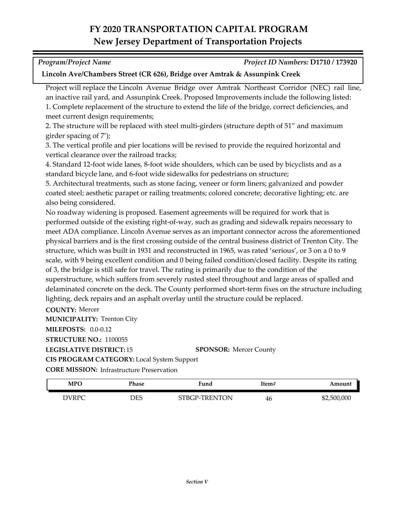| <b>Program/Project Name</b> | Project ID Numbers: D1710 / 173920 |
|-----------------------------|------------------------------------|

#### **Lincoln Ave/Chambers Street (CR 626), Bridge over Amtrak & Assunpink Creek**

Project will replace the Lincoln Avenue Bridge over Amtrak Northeast Corridor (NEC) rail line, an inactive rail yard, and Assunpink Creek. Proposed Improvements include the following listed: 1. Complete replacement of the structure to extend the life of the bridge, correct deficiencies, and meet current design requirements;

2. The structure will be replaced with steel multi-girders (structure depth of 51" and maximum girder spacing of 7');

3. The vertical profile and pier locations will be revised to provide the required horizontal and vertical clearance over the railroad tracks;

4. Standard 12-foot wide lanes, 8-foot wide shoulders, which can be used by bicyclists and as a standard bicycle lane, and 6-foot wide sidewalks for pedestrians on structure;

5. Architectural treatments, such as stone facing, veneer or form liners; galvanized and powder coated steel; aesthetic parapet or railing treatments; colored concrete; decorative lighting; etc. are also being considered.

No roadway widening is proposed. Easement agreements will be required for work that is performed outside of the existing right-of-way, such as grading and sidewalk repairs necessary to meet ADA compliance. Lincoln Avenue serves as an important connector across the aforementioned physical barriers and is the first crossing outside of the central business district of Trenton City. The structure, which was built in 1931 and reconstructed in 1965, was rated 'serious', or 3 on a 0 to 9 scale, with 9 being excellent condition and 0 being failed condition/closed facility. Despite its rating of 3, the bridge is still safe for travel. The rating is primarily due to the condition of the superstructure, which suffers from severely rusted steel throughout and large areas of spalled and delaminated concrete on the deck. The County performed short-term fixes on the structure including lighting, deck repairs and an asphalt overlay until the structure could be replaced.

**COUNTY:** Mercer

**MUNICIPALITY: Trenton City** 

**MILEPOSTS:** 0.0-0.12

**STRUCTURE NO.:** 1100055

**LEGISLATIVE DISTRICT:** 15

**SPONSOR:** Mercer County

**CIS PROGRAM CATEGORY:** Local System Support

**CORE MISSION:** Infrastructure Preservation

| MPO   | Phase | Fund          | Item# | Amount      |
|-------|-------|---------------|-------|-------------|
| DVRPC | DES   | STBGP-TRENTON | 46    | \$2,500,000 |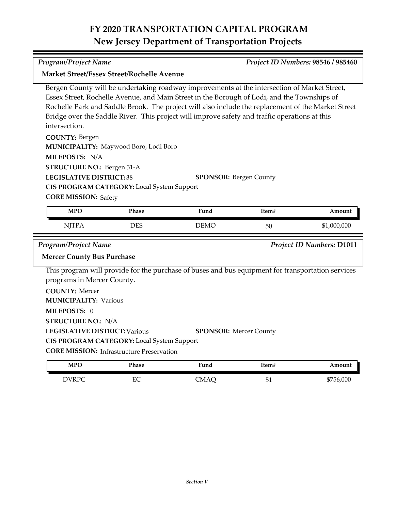| Program/Project Name                       |                                                                                                                                                                                                                                                                                                                                                                                                                             |                                                                                                   | Project ID Numbers: 98546 / 985460 |                                  |  |  |  |
|--------------------------------------------|-----------------------------------------------------------------------------------------------------------------------------------------------------------------------------------------------------------------------------------------------------------------------------------------------------------------------------------------------------------------------------------------------------------------------------|---------------------------------------------------------------------------------------------------|------------------------------------|----------------------------------|--|--|--|
| Market Street/Essex Street/Rochelle Avenue |                                                                                                                                                                                                                                                                                                                                                                                                                             |                                                                                                   |                                    |                                  |  |  |  |
| intersection.                              | Bergen County will be undertaking roadway improvements at the intersection of Market Street,<br>Essex Street, Rochelle Avenue, and Main Street in the Borough of Lodi, and the Townships of<br>Rochelle Park and Saddle Brook. The project will also include the replacement of the Market Street<br>Bridge over the Saddle River. This project will improve safety and traffic operations at this<br><b>COUNTY: Bergen</b> |                                                                                                   |                                    |                                  |  |  |  |
|                                            |                                                                                                                                                                                                                                                                                                                                                                                                                             |                                                                                                   |                                    |                                  |  |  |  |
| MILEPOSTS: N/A                             | MUNICIPALITY: Maywood Boro, Lodi Boro                                                                                                                                                                                                                                                                                                                                                                                       |                                                                                                   |                                    |                                  |  |  |  |
| <b>STRUCTURE NO.: Bergen 31-A</b>          |                                                                                                                                                                                                                                                                                                                                                                                                                             |                                                                                                   |                                    |                                  |  |  |  |
| <b>LEGISLATIVE DISTRICT:38</b>             |                                                                                                                                                                                                                                                                                                                                                                                                                             | <b>SPONSOR: Bergen County</b>                                                                     |                                    |                                  |  |  |  |
|                                            | CIS PROGRAM CATEGORY: Local System Support                                                                                                                                                                                                                                                                                                                                                                                  |                                                                                                   |                                    |                                  |  |  |  |
| <b>CORE MISSION: Safety</b>                |                                                                                                                                                                                                                                                                                                                                                                                                                             |                                                                                                   |                                    |                                  |  |  |  |
| <b>MPO</b>                                 | Phase                                                                                                                                                                                                                                                                                                                                                                                                                       | Fund                                                                                              | Item#                              | Amount                           |  |  |  |
|                                            |                                                                                                                                                                                                                                                                                                                                                                                                                             |                                                                                                   |                                    |                                  |  |  |  |
| <b>NJTPA</b>                               | <b>DES</b>                                                                                                                                                                                                                                                                                                                                                                                                                  | <b>DEMO</b>                                                                                       | 50                                 | \$1,000,000                      |  |  |  |
| Program/Project Name                       |                                                                                                                                                                                                                                                                                                                                                                                                                             |                                                                                                   |                                    | <b>Project ID Numbers: D1011</b> |  |  |  |
| <b>Mercer County Bus Purchase</b>          |                                                                                                                                                                                                                                                                                                                                                                                                                             |                                                                                                   |                                    |                                  |  |  |  |
| programs in Mercer County.                 |                                                                                                                                                                                                                                                                                                                                                                                                                             | This program will provide for the purchase of buses and bus equipment for transportation services |                                    |                                  |  |  |  |
| <b>COUNTY: Mercer</b>                      |                                                                                                                                                                                                                                                                                                                                                                                                                             |                                                                                                   |                                    |                                  |  |  |  |
| <b>MUNICIPALITY: Various</b>               |                                                                                                                                                                                                                                                                                                                                                                                                                             |                                                                                                   |                                    |                                  |  |  |  |
| MILEPOSTS: 0                               |                                                                                                                                                                                                                                                                                                                                                                                                                             |                                                                                                   |                                    |                                  |  |  |  |
| <b>STRUCTURE NO.: N/A</b>                  |                                                                                                                                                                                                                                                                                                                                                                                                                             |                                                                                                   |                                    |                                  |  |  |  |
| <b>LEGISLATIVE DISTRICT: Various</b>       |                                                                                                                                                                                                                                                                                                                                                                                                                             | <b>SPONSOR: Mercer County</b>                                                                     |                                    |                                  |  |  |  |
|                                            | CIS PROGRAM CATEGORY: Local System Support                                                                                                                                                                                                                                                                                                                                                                                  |                                                                                                   |                                    |                                  |  |  |  |
|                                            | <b>CORE MISSION: Infrastructure Preservation</b>                                                                                                                                                                                                                                                                                                                                                                            |                                                                                                   |                                    |                                  |  |  |  |

DVRPC EC CMAQ 51 \$756,000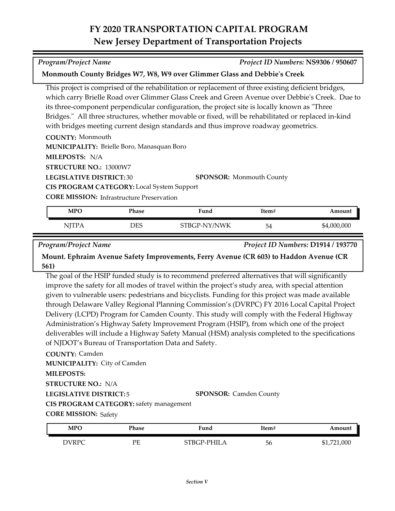*Program/Project Name Project ID Numbers:* **NS9306 / 950607**

This project is comprised of the rehabilitation or replacement of three existing deficient bridges, which carry Brielle Road over Glimmer Glass Creek and Green Avenue over Debbie's Creek. Due to

| its three-component perpendicular configuration, the project site is locally known as "Three        |                                 |  |  |
|-----------------------------------------------------------------------------------------------------|---------------------------------|--|--|
| Bridges." All three structures, whether movable or fixed, will be rehabilitated or replaced in-kind |                                 |  |  |
| with bridges meeting current design standards and thus improve roadway geometrics.                  |                                 |  |  |
| <b>COUNTY: Monmouth</b>                                                                             |                                 |  |  |
| <b>MUNICIPALITY: Brielle Boro, Manasquan Boro</b>                                                   |                                 |  |  |
| MILEPOSTS: N/A                                                                                      |                                 |  |  |
| <b>STRUCTURE NO.: 13000W7</b>                                                                       |                                 |  |  |
| <b>LEGISLATIVE DISTRICT: 30</b>                                                                     | <b>SPONSOR:</b> Monmouth County |  |  |
| <b>CIS PROGRAM CATEGORY:</b> Local System Support                                                   |                                 |  |  |

**Monmouth County Bridges W7, W8, W9 over Glimmer Glass and Debbie's Creek**

**CORE MISSION: Infrastructure Preservation** 

| <b>MPO</b>   | Phase | Fund         | Item# | Amount      |
|--------------|-------|--------------|-------|-------------|
| <b>NJTPA</b> | DES   | STBGP-NY/NWK | 54    | \$4,000,000 |

*Program/Project Name Project ID Numbers:* **D1914 / 193770**

**Mount. Ephraim Avenue Safety Improvements, Ferry Avenue (CR 603) to Haddon Avenue (CR 561)**

The goal of the HSIP funded study is to recommend preferred alternatives that will significantly improve the safety for all modes of travel within the project's study area, with special attention given to vulnerable users: pedestrians and bicyclists. Funding for this project was made available through Delaware Valley Regional Planning Commission's (DVRPC) FY 2016 Local Capital Project Delivery (LCPD) Program for Camden County. This study will comply with the Federal Highway Administration's Highway Safety Improvement Program (HSIP), from which one of the project deliverables will include a Highway Safety Manual (HSM) analysis completed to the specifications of NJDOT's Bureau of Transportation Data and Safety.

**COUNTY:** Camden **LEGISLATIVE DISTRICT:** 5 **MILEPOSTS: STRUCTURE NO.:** N/A **MUNICIPALITY: City of Camden CORE MISSION: Safety SPONSOR:** Camden County **CIS PROGRAM CATEGORY:** safety management

| <b>MPO</b>         | Phase | Fund               | Item# | Amount      |
|--------------------|-------|--------------------|-------|-------------|
| <b>DIVRPC</b><br>W | PЕ    | <b>STBGP-PHILA</b> | 56    | \$1,721,000 |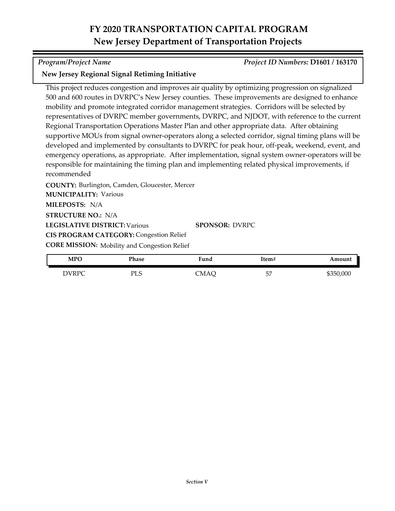### *Program/Project Name Project ID Numbers:* **D1601 / 163170**

### **New Jersey Regional Signal Retiming Initiative**

This project reduces congestion and improves air quality by optimizing progression on signalized 500 and 600 routes in DVRPC's New Jersey counties. These improvements are designed to enhance mobility and promote integrated corridor management strategies. Corridors will be selected by representatives of DVRPC member governments, DVRPC, and NJDOT, with reference to the current Regional Transportation Operations Master Plan and other appropriate data. After obtaining supportive MOUs from signal owner-operators along a selected corridor, signal timing plans will be developed and implemented by consultants to DVRPC for peak hour, off-peak, weekend, event, and emergency operations, as appropriate. After implementation, signal system owner-operators will be responsible for maintaining the timing plan and implementing related physical improvements, if recommended

**COUNTY:** Burlington, Camden, Gloucester, Mercer **LEGISLATIVE DISTRICT:** Various **MILEPOSTS:** N/A **STRUCTURE NO.:** N/A **MUNICIPALITY: Various CORE MISSION:** Mobility and Congestion Relief **SPONSOR:** DVRPC **CIS PROGRAM CATEGORY: Congestion Relief** 

| <b>MPO</b> | Phase | <b>Fund</b> | Item#    | Amount    |
|------------|-------|-------------|----------|-----------|
| DVRPC      | PLS   | CMAÇ        | 57<br>ىر | \$350,000 |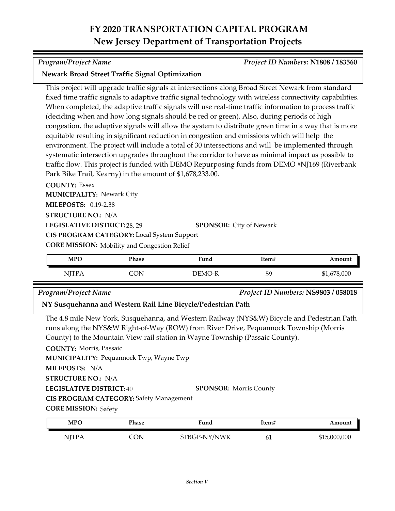### *Program/Project Name Project ID Numbers:* **N1808 / 183560**

### **Newark Broad Street Traffic Signal Optimization**

This project will upgrade traffic signals at intersections along Broad Street Newark from standard fixed time traffic signals to adaptive traffic signal technology with wireless connectivity capabilities. When completed, the adaptive traffic signals will use real-time traffic information to process traffic (deciding when and how long signals should be red or green). Also, during periods of high congestion, the adaptive signals will allow the system to distribute green time in a way that is more equitable resulting in significant reduction in congestion and emissions which will help the environment. The project will include a total of 30 intersections and will be implemented through systematic intersection upgrades throughout the corridor to have as minimal impact as possible to traffic flow. This project is funded with DEMO Repurposing funds from DEMO #NJ169 (Riverbank Park Bike Trail, Kearny) in the amount of \$1,678,233.00.

**COUNTY:** Essex **LEGISLATIVE DISTRICT:** 28, 29 **MILEPOSTS:** 0.19-2.38 **STRUCTURE NO.:** N/A **MUNICIPALITY: Newark City CORE MISSION:** Mobility and Congestion Relief **SPONSOR:** City of Newark **CIS PROGRAM CATEGORY:** Local System Support

| <b>MPO</b>                | Phase | Fund   | Item# | Amount      |
|---------------------------|-------|--------|-------|-------------|
| <b>NITPA</b><br>1 T T T T | CON   | DEMO-R | 59    | \$1,678,000 |

*Program/Project Name Project ID Numbers:* **NS9803 / 058018**

### **NY Susquehanna and Western Rail Line Bicycle/Pedestrian Path**

The 4.8 mile New York, Susquehanna, and Western Railway (NYS&W) Bicycle and Pedestrian Path runs along the NYS&W Right-of-Way (ROW) from River Drive, Pequannock Township (Morris County) to the Mountain View rail station in Wayne Township (Passaic County).

**COUNTY:** Morris, Passaic

**MILEPOSTS:** N/A **STRUCTURE NO.:** N/A **MUNICIPALITY: Pequannock Twp, Wayne Twp** 

**CIS PROGRAM CATEGORY:** Safety Management

**LEGISLATIVE DISTRICT:** 40

**SPONSOR:** Morris County

**CORE MISSION: Safety** 

| MPO          | Phase | Fund         | Item# | Amount       |
|--------------|-------|--------------|-------|--------------|
| <b>NJTPA</b> | CON.  | STBGP-NY/NWK | 61    | \$15,000,000 |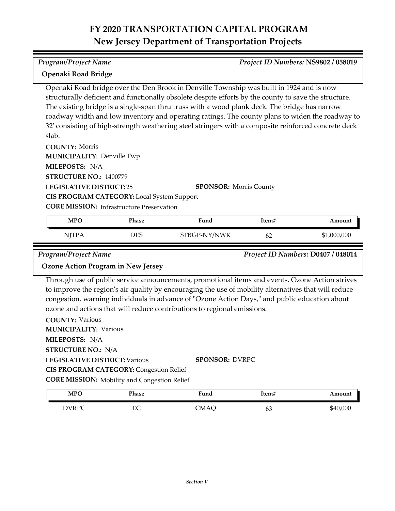#### *Program/Project Name Project ID Numbers:* **NS9802 / 058019**

## **Openaki Road Bridge**

Openaki Road bridge over the Den Brook in Denville Township was built in 1924 and is now structurally deficient and functionally obsolete despite efforts by the county to save the structure. The existing bridge is a single-span thru truss with a wood plank deck. The bridge has narrow roadway width and low inventory and operating ratings. The county plans to widen the roadway to 32' consisting of high-strength weathering steel stringers with a composite reinforced concrete deck slab.

**COUNTY:** Morris

**MUNICIPALITY: Denville Twp** 

**MILEPOSTS:** N/A

**STRUCTURE NO.:** 1400779

**LEGISLATIVE DISTRICT:** 25

**SPONSOR:** Morris County

**CIS PROGRAM CATEGORY:** Local System Support

**CORE MISSION:** Infrastructure Preservation

| MPO                  | Phase | Fund               | Item# | Amount      |
|----------------------|-------|--------------------|-------|-------------|
| NITPA<br><b>TTTT</b> | DES   | -NY/NWK<br>STBGP-1 | 62    | \$1,000,000 |

*Program/Project Name Project ID Numbers:* **D0407 / 048014**

### **Ozone Action Program in New Jersey**

Through use of public service announcements, promotional items and events, Ozone Action strives to improve the region's air quality by encouraging the use of mobility alternatives that will reduce congestion, warning individuals in advance of "Ozone Action Days," and public education about ozone and actions that will reduce contributions to regional emissions.

**COUNTY:** Various **LEGISLATIVE DISTRICT:** Various **MILEPOSTS:** N/A **STRUCTURE NO.:** N/A **MUNICIPALITY: Various CORE MISSION:** Mobility and Congestion Relief **SPONSOR:** DVRPC **CIS PROGRAM CATEGORY: Congestion Relief** 

| <b>MPO</b>   | Phase | Fund | Item# | Amount   |
|--------------|-------|------|-------|----------|
| <b>DVRPC</b> | EС    | CMAO | 63    | \$40,000 |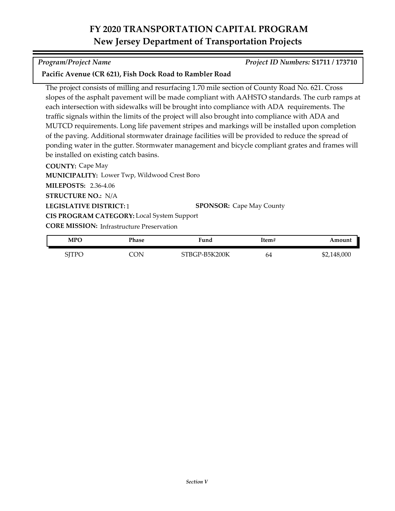### *Program/Project Name Project ID Numbers:* **S1711 / 173710**

### **Pacific Avenue (CR 621), Fish Dock Road to Rambler Road**

The project consists of milling and resurfacing 1.70 mile section of County Road No. 621. Cross slopes of the asphalt pavement will be made compliant with AAHSTO standards. The curb ramps at each intersection with sidewalks will be brought into compliance with ADA requirements. The traffic signals within the limits of the project will also brought into compliance with ADA and MUTCD requirements. Long life pavement stripes and markings will be installed upon completion of the paving. Additional stormwater drainage facilities will be provided to reduce the spread of ponding water in the gutter. Stormwater management and bicycle compliant grates and frames will be installed on existing catch basins.

**COUNTY:** Cape May **LEGISLATIVE DISTRICT:** 1 **MILEPOSTS:** 2.36-4.06 **STRUCTURE NO.:** N/A **MUNICIPALITY: Lower Twp, Wildwood Crest Boro CORE MISSION:** Infrastructure Preservation **SPONSOR:** Cape May County **CIS PROGRAM CATEGORY:** Local System Support

| <b>MPO</b> | Phase | Fund          | Item# | Amount      |
|------------|-------|---------------|-------|-------------|
| SJTPO      | `ON   | STBGP-B5K200K | 64    | \$2,148,000 |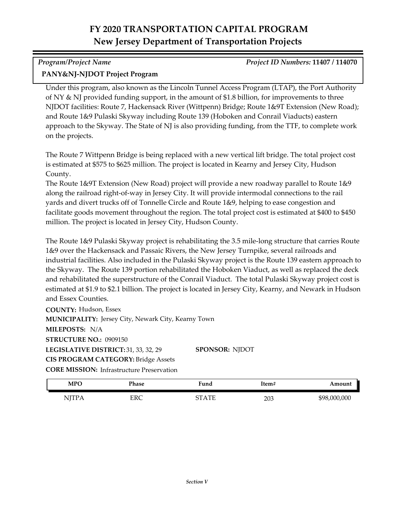# *Program/Project Name Project ID Numbers:* **11407 / 114070**

### **PANY&NJ-NJDOT Project Program**

Under this program, also known as the Lincoln Tunnel Access Program (LTAP), the Port Authority of NY & NJ provided funding support, in the amount of \$1.8 billion, for improvements to three NJDOT facilities: Route 7, Hackensack River (Wittpenn) Bridge; Route 1&9T Extension (New Road); and Route 1&9 Pulaski Skyway including Route 139 (Hoboken and Conrail Viaducts) eastern approach to the Skyway. The State of NJ is also providing funding, from the TTF, to complete work on the projects.

The Route 7 Wittpenn Bridge is being replaced with a new vertical lift bridge. The total project cost is estimated at \$575 to \$625 million. The project is located in Kearny and Jersey City, Hudson County.

The Route 1&9T Extension (New Road) project will provide a new roadway parallel to Route 1&9 along the railroad right-of-way in Jersey City. It will provide intermodal connections to the rail yards and divert trucks off of Tonnelle Circle and Route 1&9, helping to ease congestion and facilitate goods movement throughout the region. The total project cost is estimated at \$400 to \$450 million. The project is located in Jersey City, Hudson County.

The Route 1&9 Pulaski Skyway project is rehabilitating the 3.5 mile-long structure that carries Route 1&9 over the Hackensack and Passaic Rivers, the New Jersey Turnpike, several railroads and industrial facilities. Also included in the Pulaski Skyway project is the Route 139 eastern approach to the Skyway. The Route 139 portion rehabilitated the Hoboken Viaduct, as well as replaced the deck and rehabilitated the superstructure of the Conrail Viaduct. The total Pulaski Skyway project cost is estimated at \$1.9 to \$2.1 billion. The project is located in Jersey City, Kearny, and Newark in Hudson and Essex Counties.

**COUNTY:** Hudson, Essex LEGISLATIVE DISTRICT: 31, 33, 32, 29 **MILEPOSTS:** N/A **STRUCTURE NO.:** 0909150 **MUNICIPALITY: Jersey City, Newark City, Kearny Town CORE MISSION:** Infrastructure Preservation **SPONSOR:** NJDOT **CIS PROGRAM CATEGORY:** Bridge Assets

| <b>MPO</b>           | Phase | -<br><sup>v</sup> und | Item# | Amount       |
|----------------------|-------|-----------------------|-------|--------------|
| <b>NJTPA</b><br>1111 | ERC   | <b>TUT</b><br>די      | 203   | \$98,000,000 |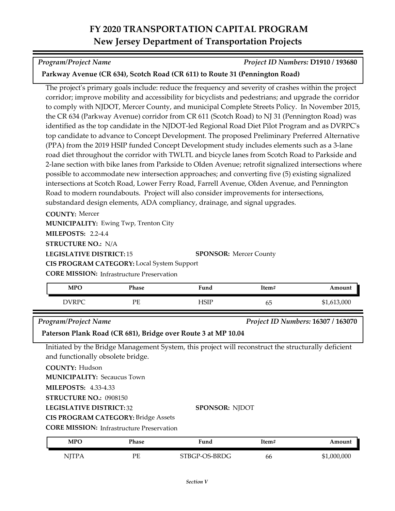*Program/Project Name Project ID Numbers:* **D1910 / 193680**

### **Parkway Avenue (CR 634), Scotch Road (CR 611) to Route 31 (Pennington Road)**

The project's primary goals include: reduce the frequency and severity of crashes within the project corridor; improve mobility and accessibility for bicyclists and pedestrians; and upgrade the corridor to comply with NJDOT, Mercer County, and municipal Complete Streets Policy. In November 2015, the CR 634 (Parkway Avenue) corridor from CR 611 (Scotch Road) to NJ 31 (Pennington Road) was identified as the top candidate in the NJDOT-led Regional Road Diet Pilot Program and as DVRPC's top candidate to advance to Concept Development. The proposed Preliminary Preferred Alternative (PPA) from the 2019 HSIP funded Concept Development study includes elements such as a 3‐lane road diet throughout the corridor with TWLTL and bicycle lanes from Scotch Road to Parkside and 2-lane section with bike lanes from Parkside to Olden Avenue; retrofit signalized intersections where possible to accommodate new intersection approaches; and converting five (5) existing signalized intersections at Scotch Road, Lower Ferry Road, Farrell Avenue, Olden Avenue, and Pennington Road to modern roundabouts. Project will also consider improvements for intersections, substandard design elements, ADA compliancy, drainage, and signal upgrades.

**COUNTY:** Mercer

**MUNICIPALITY: Ewing Twp, Trenton City** 

**MILEPOSTS:** 2.2-4.4

**STRUCTURE NO.:** N/A

**LEGISLATIVE DISTRICT:** 15

**SPONSOR: Mercer County** 

**CORE MISSION:** Infrastructure Preservation **CIS PROGRAM CATEGORY:** Local System Support

| <b>MPO</b>                                        | Phase | Fund | Item# | Amount          |
|---------------------------------------------------|-------|------|-------|-----------------|
| $J\mathbf{D}\mathbf{D}\mathbf{C}$<br>$\mathbf{v}$ | PЕ    | ⊐CTD | ხ5    | .613,000<br>ሰ 1 |

*Program/Project Name Project ID Numbers:* **16307 / 163070**

**Paterson Plank Road (CR 681), Bridge over Route 3 at MP 10.04**

Initiated by the Bridge Management System, this project will reconstruct the structurally deficient and functionally obsolete bridge.

**COUNTY:** Hudson

**MUNICIPALITY: Secaucus Town** 

**MILEPOSTS:** 4.33-4.33

**STRUCTURE NO.:** 0908150

**LEGISLATIVE DISTRICT:** 32

**CIS PROGRAM CATEGORY:** Bridge Assets

**CORE MISSION:** Infrastructure Preservation

| <b>MPO</b> | Phase | Fund          | !tem# | Amount      |
|------------|-------|---------------|-------|-------------|
| NITP.      | PЕ    | STBGP-OS-BRDG | 66    | \$1,000,000 |

**SPONSOR:** NJDOT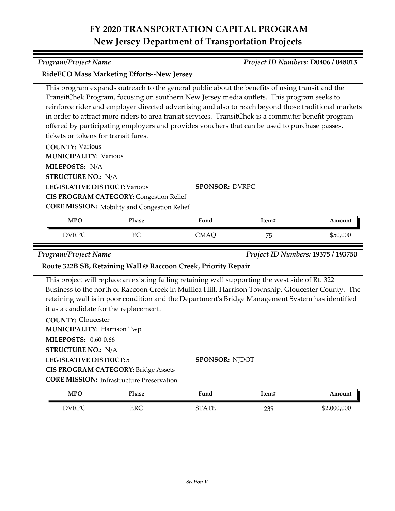*Program/Project Name Project ID Numbers:* **D0406 / 048013**

This program expands outreach to the general public about the benefits of using transit and the

| TransitChek Program, focusing on southern New Jersey media outlets. This program seeks to<br>tickets or tokens for transit fares.<br><b>COUNTY: Various</b> |                                                                                                       | reinforce rider and employer directed advertising and also to reach beyond those traditional markets<br>in order to attract more riders to area transit services. TransitChek is a commuter benefit program<br>offered by participating employers and provides vouchers that can be used to purchase passes, |       |                                    |
|-------------------------------------------------------------------------------------------------------------------------------------------------------------|-------------------------------------------------------------------------------------------------------|--------------------------------------------------------------------------------------------------------------------------------------------------------------------------------------------------------------------------------------------------------------------------------------------------------------|-------|------------------------------------|
| <b>MUNICIPALITY: Various</b>                                                                                                                                |                                                                                                       |                                                                                                                                                                                                                                                                                                              |       |                                    |
| MILEPOSTS: N/A                                                                                                                                              |                                                                                                       |                                                                                                                                                                                                                                                                                                              |       |                                    |
| <b>STRUCTURE NO.: N/A</b>                                                                                                                                   |                                                                                                       |                                                                                                                                                                                                                                                                                                              |       |                                    |
| <b>LEGISLATIVE DISTRICT: Various</b>                                                                                                                        | <b>CIS PROGRAM CATEGORY: Congestion Relief</b><br><b>CORE MISSION:</b> Mobility and Congestion Relief | <b>SPONSOR: DVRPC</b>                                                                                                                                                                                                                                                                                        |       |                                    |
| <b>MPO</b>                                                                                                                                                  | Phase                                                                                                 | Fund                                                                                                                                                                                                                                                                                                         | Item# | Amount                             |
| <b>DVRPC</b>                                                                                                                                                | EC                                                                                                    | <b>CMAQ</b>                                                                                                                                                                                                                                                                                                  | 75    | \$50,000                           |
| Program/Project Name                                                                                                                                        | Route 322B SB, Retaining Wall @ Raccoon Creek, Priority Repair                                        |                                                                                                                                                                                                                                                                                                              |       | Project ID Numbers: 19375 / 193750 |
|                                                                                                                                                             |                                                                                                       |                                                                                                                                                                                                                                                                                                              |       |                                    |
|                                                                                                                                                             | it as a candidate for the replacement.                                                                | This project will replace an existing failing retaining wall supporting the west side of Rt. 322<br>Business to the north of Raccoon Creek in Mullica Hill, Harrison Township, Gloucester County. The<br>retaining wall is in poor condition and the Department's Bridge Management System has identified    |       |                                    |
| <b>COUNTY: Gloucester</b><br><b>MUNICIPALITY: Harrison Twp</b>                                                                                              |                                                                                                       |                                                                                                                                                                                                                                                                                                              |       |                                    |
| <b>MILEPOSTS: 0.60-0.66</b>                                                                                                                                 |                                                                                                       |                                                                                                                                                                                                                                                                                                              |       |                                    |
| <b>STRUCTURE NO.: N/A</b>                                                                                                                                   |                                                                                                       |                                                                                                                                                                                                                                                                                                              |       |                                    |
| <b>LEGISLATIVE DISTRICT:5</b>                                                                                                                               |                                                                                                       | <b>SPONSOR: NJDOT</b>                                                                                                                                                                                                                                                                                        |       |                                    |

**CORE MISSION:** Infrastructure Preservation

**RideECO Mass Marketing Efforts--New Jersey**

| <b>MPO</b> | Phase | ∺una                | Item# | Amount      |
|------------|-------|---------------------|-------|-------------|
| DVRPC      | ERC   | $_{\rm ATE}$<br>חדי | 239   | \$2,000,000 |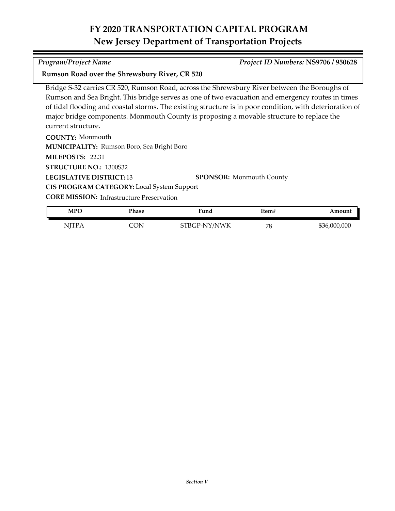#### *Program/Project Name Project ID Numbers:* **NS9706 / 950628**

#### **Rumson Road over the Shrewsbury River, CR 520**

Bridge S‐32 carries CR 520, Rumson Road, across the Shrewsbury River between the Boroughs of Rumson and Sea Bright. This bridge serves as one of two evacuation and emergency routes in times of tidal flooding and coastal storms. The existing structure is in poor condition, with deterioration of major bridge components. Monmouth County is proposing a movable structure to replace the current structure.

**COUNTY:** Monmouth **LEGISLATIVE DISTRICT:** 13 **MILEPOSTS:** 22.31 **STRUCTURE NO.:** 1300S32 **MUNICIPALITY: Rumson Boro, Sea Bright Boro SPONSOR:** Monmouth County **CIS PROGRAM CATEGORY:** Local System Support

**CORE MISSION: Infrastructure Preservation** 

| <b>MPC</b>   | Phase | Fund         | ltem# | Amount       |
|--------------|-------|--------------|-------|--------------|
| <b>NJTPA</b> | CON   | STBGP-NY/NWK | 78    | \$36,000,000 |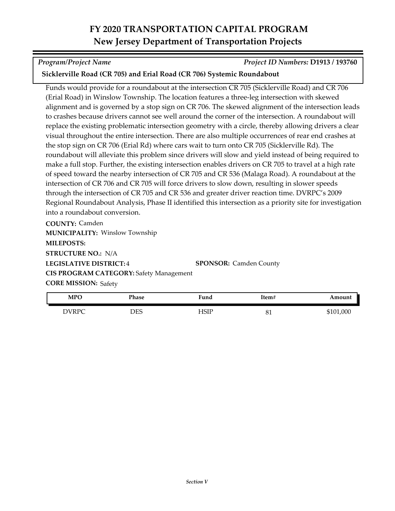*Program/Project Name Project ID Numbers:* **D1913 / 193760**

### **Sicklerville Road (CR 705) and Erial Road (CR 706) Systemic Roundabout**

Funds would provide for a roundabout at the intersection CR 705 (Sicklerville Road) and CR 706 (Erial Road) in Winslow Township. The location features a three-leg intersection with skewed alignment and is governed by a stop sign on CR 706. The skewed alignment of the intersection leads to crashes because drivers cannot see well around the corner of the intersection. A roundabout will replace the existing problematic intersection geometry with a circle, thereby allowing drivers a clear visual throughout the entire intersection. There are also multiple occurrences of rear end crashes at the stop sign on CR 706 (Erial Rd) where cars wait to turn onto CR 705 (Sicklerville Rd). The roundabout will alleviate this problem since drivers will slow and yield instead of being required to make a full stop. Further, the existing intersection enables drivers on CR 705 to travel at a high rate of speed toward the nearby intersection of CR 705 and CR 536 (Malaga Road). A roundabout at the intersection of CR 706 and CR 705 will force drivers to slow down, resulting in slower speeds through the intersection of CR 705 and CR 536 and greater driver reaction time. DVRPC's 2009 Regional Roundabout Analysis, Phase II identified this intersection as a priority site for investigation into a roundabout conversion.

**COUNTY:** Camden **LEGISLATIVE DISTRICT:** 4 **MILEPOSTS: STRUCTURE NO.:** N/A **MUNICIPALITY: Winslow Township CORE MISSION: Safety SPONSOR:** Camden County **CIS PROGRAM CATEGORY:** Safety Management

| <b>MPO</b> | Phase | $\mathbf{r}$<br>∺und | <b>Item#</b> | Amount    |
|------------|-------|----------------------|--------------|-----------|
| DVRPC      | DES   | <b>HSIP</b>          | าฯ<br>OІ     | \$101,000 |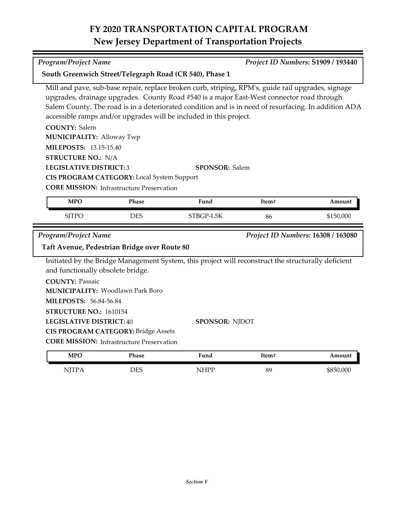**COUNTY:** Salem **LEGISLATIVE DISTRICT:** 3 **MILEPOSTS:** 13.15-15.40 **STRUCTURE NO.:** N/A **COUNTY:** Passaic **LEGISLATIVE DISTRICT:** 40 **MILEPOSTS:** 56.84-56.84 **STRUCTURE NO.:** 1610154 **MUNICIPALITY: Alloway Twp CORE MISSION: Infrastructure Preservation** Woodlawn Park Boro **MUNICIPALITY:** Mill and pave, sub-base repair, replace broken curb, striping, RPM's, guide rail upgrades, signage upgrades, drainage upgrades. County Road #540 is a major East-West connector road through Salem County. The road is in a deteriorated condition and is in need of resurfacing. In addition ADA accessible ramps and/or upgrades will be included in this project. **SPONSOR:** Salem **CIS PROGRAM CATEGORY:** Local System Support Initiated by the Bridge Management System, this project will reconstruct the structurally deficient and functionally obsolete bridge. **SPONSOR:** NJDOT **CIS PROGRAM CATEGORY:** Bridge Assets *Program/Project Name Project ID Numbers:* **16308 / 163080 Taft Avenue, Pedestrian Bridge over Route 80** SITPO DES STBGP-L5K 86 \$150,000 **MPO Phase Fund Item# Amount**

**CORE MISSION:** Infrastructure Preservation

| <b>MPO</b>   | <sup>o</sup> hase | Fund<br>__ | Item# | Amount    |
|--------------|-------------------|------------|-------|-----------|
| NITP/<br>11T | DES               | NHPP       | 89    | \$850,000 |

*Program/Project Name Project ID Numbers:* **S1909 / 193440**

**South Greenwich Street/Telegraph Road (CR 540), Phase 1**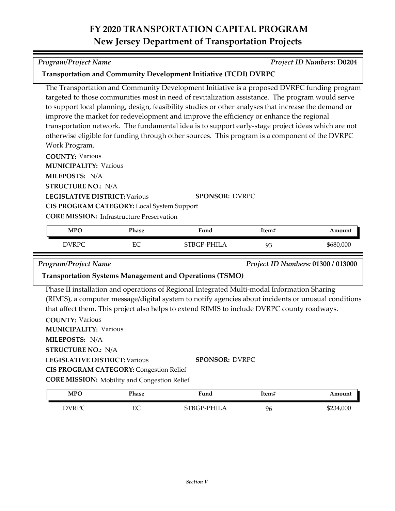| improve the market for redevelopment and improve the efficiency or enhance the regional            |  |
|----------------------------------------------------------------------------------------------------|--|
| transportation network. The fundamental idea is to support early-stage project ideas which are not |  |
| otherwise eligible for funding through other sources. This program is a component of the DVRPC     |  |
| Work Program.                                                                                      |  |
| <b>COUNTY: Various</b>                                                                             |  |
| MUNICIPALITY. Various                                                                              |  |

The Transportation and Community Development Initiative is a proposed DVRPC funding program targeted to those communities most in need of revitalization assistance. The program would serve to support local planning, design, feasibility studies or other analyses that increase the demand or

**Transportation and Community Development Initiative (TCDI) DVRPC**

**MUNICIPALITY: Various** 

**MILEPOSTS:** N/A

**STRUCTURE NO.:** N/A

**LEGISLATIVE DISTRICT:** Various

**SPONSOR:** DVRPC

**CORE MISSION: Infrastructure Preservation** 

**CIS PROGRAM CATEGORY:** Local System Support

| <b>MPO</b> | Phase | T.<br>Fund  | Item#       | Amount    |
|------------|-------|-------------|-------------|-----------|
| DVRPC      | EС    | STBGP-PHILA | $Q^2$<br>ノー | \$680,000 |

*Program/Project Name Project ID Numbers:* **01300 / 013000**

#### **Transportation Systems Management and Operations (TSMO)**

Phase II installation and operations of Regional Integrated Multi-modal Information Sharing (RIMIS), a computer message/digital system to notify agencies about incidents or unusual conditions that affect them. This project also helps to extend RIMIS to include DVRPC county roadways.

**COUNTY:** Various **LEGISLATIVE DISTRICT:** Various **MILEPOSTS:** N/A **STRUCTURE NO.:** N/A **MUNICIPALITY: Various CORE MISSION:** Mobility and Congestion Relief **SPONSOR:** DVRPC **CIS PROGRAM CATEGORY: Congestion Relief** 

| <b>MPO</b> | Phase | Fund        | Item# | Amount    |
|------------|-------|-------------|-------|-----------|
| DVRPC      | EС    | STBGP-PHILA | 96    | \$234,000 |

*Program/Project Name Project ID Numbers:* **D0204**